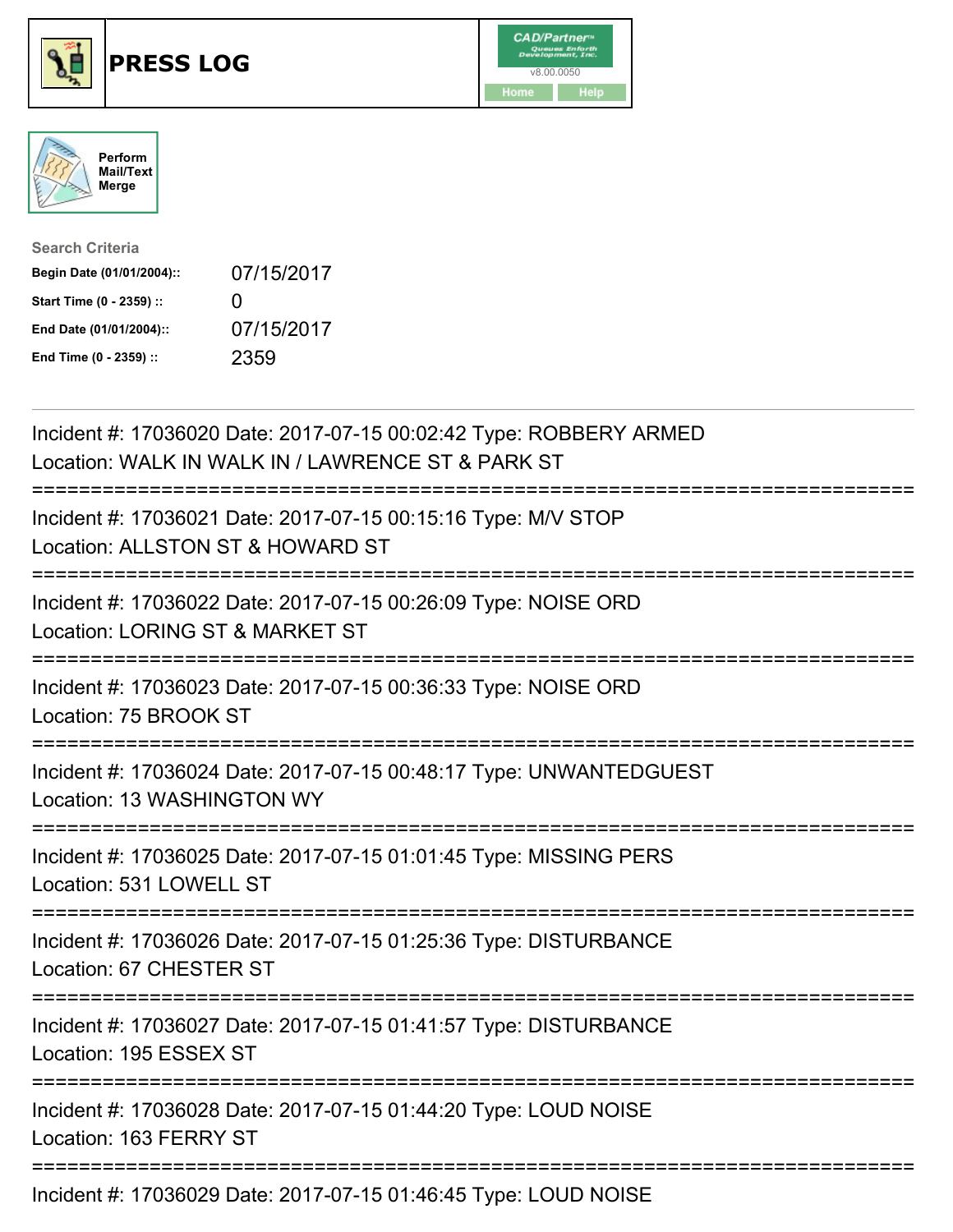





| <b>Search Criteria</b>    |              |
|---------------------------|--------------|
| Begin Date (01/01/2004):: | 07/15/2017   |
| Start Time (0 - 2359) ::  | $\mathbf{I}$ |
| End Date (01/01/2004)::   | 07/15/2017   |
| End Time (0 - 2359) ::    | 2359         |

| Incident #: 17036020 Date: 2017-07-15 00:02:42 Type: ROBBERY ARMED<br>Location: WALK IN WALK IN / LAWRENCE ST & PARK ST  |
|--------------------------------------------------------------------------------------------------------------------------|
| Incident #: 17036021 Date: 2017-07-15 00:15:16 Type: M/V STOP<br>Location: ALLSTON ST & HOWARD ST<br>----------          |
| Incident #: 17036022 Date: 2017-07-15 00:26:09 Type: NOISE ORD<br>Location: LORING ST & MARKET ST<br>---------           |
| Incident #: 17036023 Date: 2017-07-15 00:36:33 Type: NOISE ORD<br>Location: 75 BROOK ST<br>============================= |
| Incident #: 17036024 Date: 2017-07-15 00:48:17 Type: UNWANTEDGUEST<br>Location: 13 WASHINGTON WY                         |
| Incident #: 17036025 Date: 2017-07-15 01:01:45 Type: MISSING PERS<br>Location: 531 LOWELL ST                             |
| Incident #: 17036026 Date: 2017-07-15 01:25:36 Type: DISTURBANCE<br>Location: 67 CHESTER ST                              |
| Incident #: 17036027 Date: 2017-07-15 01:41:57 Type: DISTURBANCE<br>Location: 195 ESSEX ST                               |
| Incident #: 17036028 Date: 2017-07-15 01:44:20 Type: LOUD NOISE<br>Location: 163 FERRY ST                                |
| Incident #: 17036029 Date: 2017-07-15 01:46:45 Type: LOUD NOISE                                                          |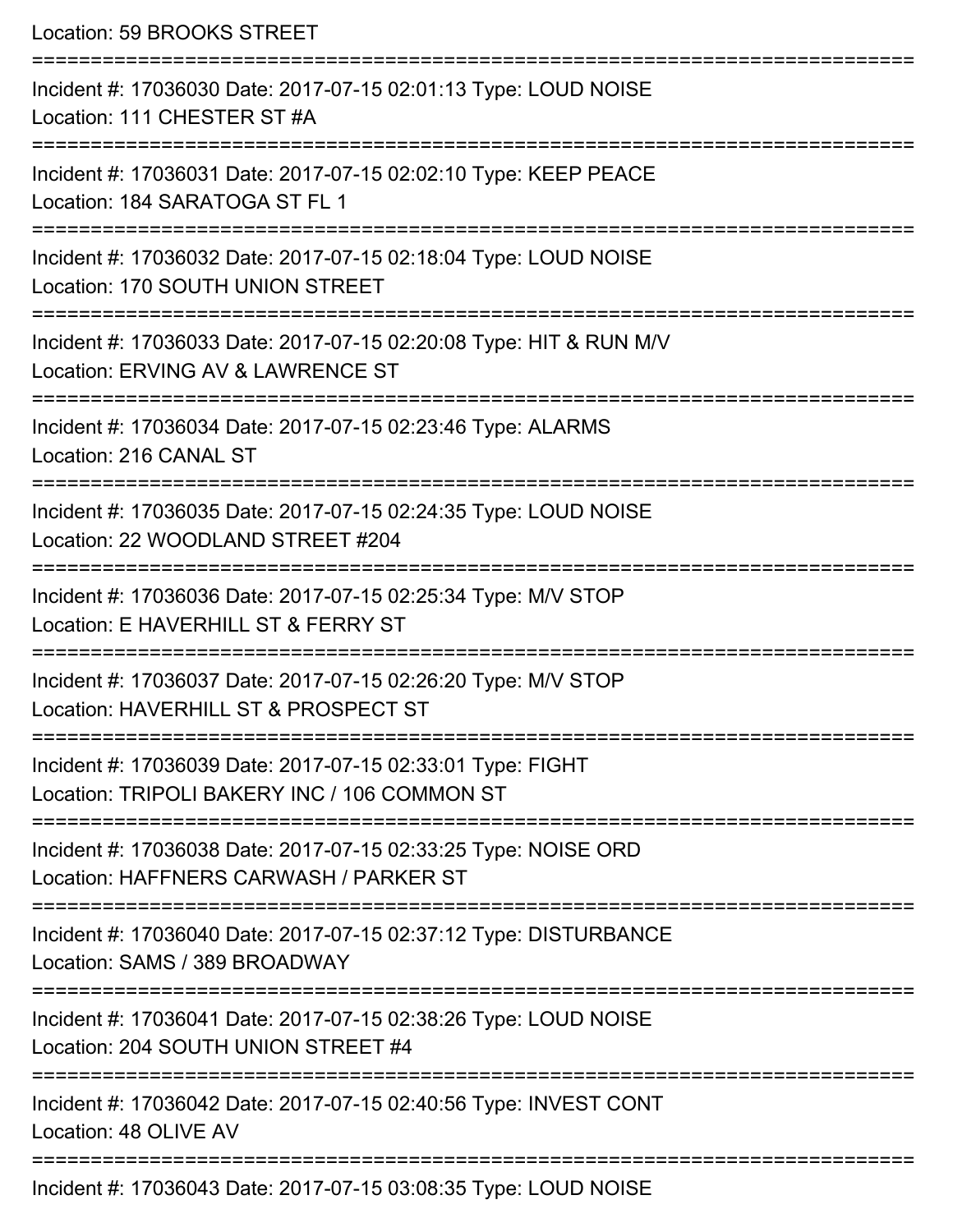| Location: 59 BROOKS STREET<br>___________________                                                                                                                           |
|-----------------------------------------------------------------------------------------------------------------------------------------------------------------------------|
| Incident #: 17036030 Date: 2017-07-15 02:01:13 Type: LOUD NOISE<br>Location: 111 CHESTER ST #A                                                                              |
| Incident #: 17036031 Date: 2017-07-15 02:02:10 Type: KEEP PEACE<br>Location: 184 SARATOGA ST FL 1<br>================================                                       |
| Incident #: 17036032 Date: 2017-07-15 02:18:04 Type: LOUD NOISE<br>Location: 170 SOUTH UNION STREET<br>:==========================<br>------------------------------------- |
| Incident #: 17036033 Date: 2017-07-15 02:20:08 Type: HIT & RUN M/V<br>Location: ERVING AV & LAWRENCE ST                                                                     |
| Incident #: 17036034 Date: 2017-07-15 02:23:46 Type: ALARMS<br>Location: 216 CANAL ST                                                                                       |
| ====================================<br>Incident #: 17036035 Date: 2017-07-15 02:24:35 Type: LOUD NOISE<br>Location: 22 WOODLAND STREET #204                                |
| Incident #: 17036036 Date: 2017-07-15 02:25:34 Type: M/V STOP<br>Location: E HAVERHILL ST & FERRY ST<br>----------------------------                                        |
| Incident #: 17036037 Date: 2017-07-15 02:26:20 Type: M/V STOP<br>Location: HAVERHILL ST & PROSPECT ST                                                                       |
| Incident #: 17036039 Date: 2017-07-15 02:33:01 Type: FIGHT<br>Location: TRIPOLI BAKERY INC / 106 COMMON ST                                                                  |
| Incident #: 17036038 Date: 2017-07-15 02:33:25 Type: NOISE ORD<br>Location: HAFFNERS CARWASH / PARKER ST                                                                    |
| Incident #: 17036040 Date: 2017-07-15 02:37:12 Type: DISTURBANCE<br>Location: SAMS / 389 BROADWAY                                                                           |
| Incident #: 17036041 Date: 2017-07-15 02:38:26 Type: LOUD NOISE<br>Location: 204 SOUTH UNION STREET #4                                                                      |
| Incident #: 17036042 Date: 2017-07-15 02:40:56 Type: INVEST CONT<br>Location: 48 OLIVE AV                                                                                   |
| Incident #: 17036043 Date: 2017-07-15 03:08:35 Type: LOUD NOISE                                                                                                             |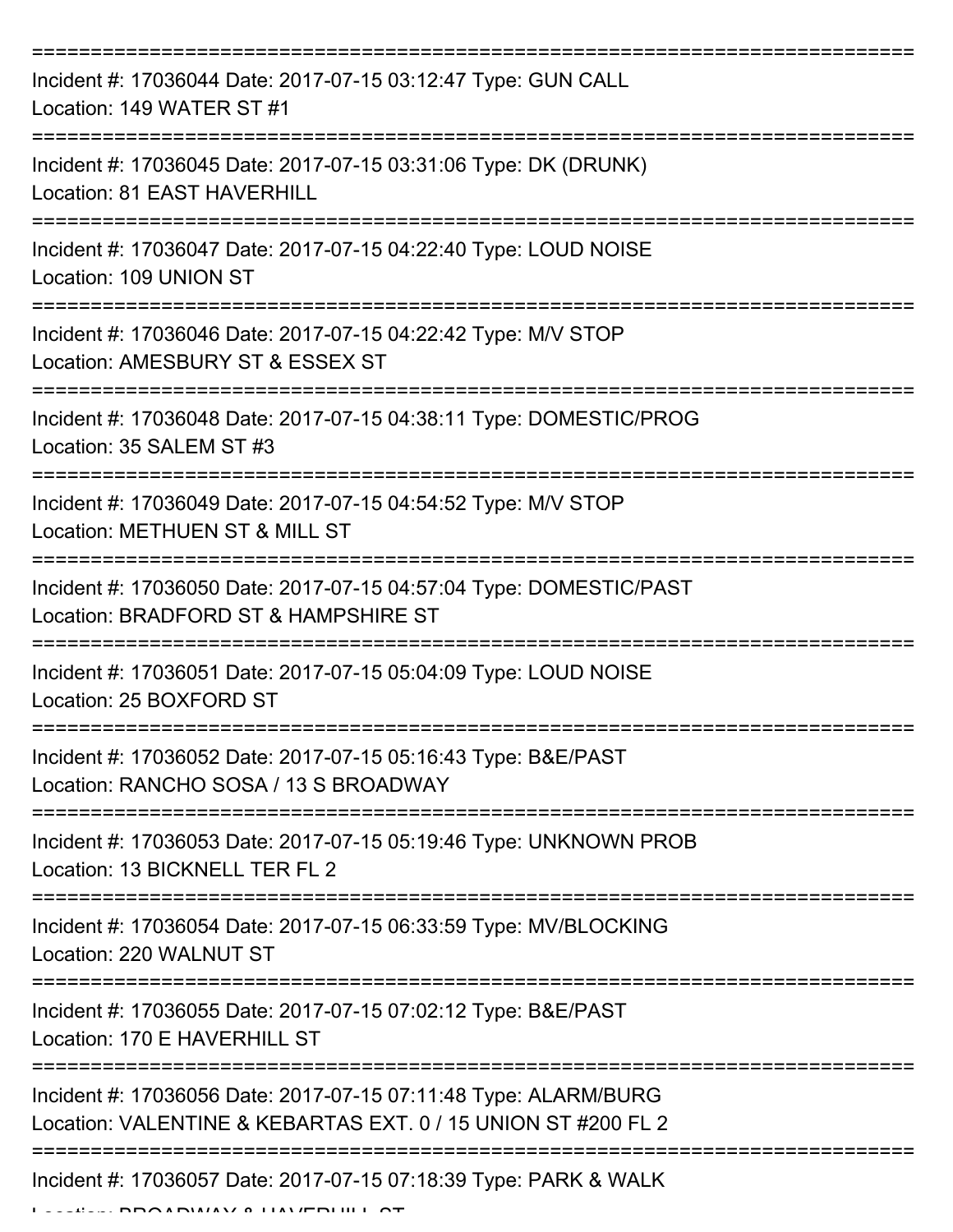| Incident #: 17036044 Date: 2017-07-15 03:12:47 Type: GUN CALL<br>Location: 149 WATER ST #1                                       |
|----------------------------------------------------------------------------------------------------------------------------------|
| Incident #: 17036045 Date: 2017-07-15 03:31:06 Type: DK (DRUNK)<br>Location: 81 EAST HAVERHILL                                   |
| Incident #: 17036047 Date: 2017-07-15 04:22:40 Type: LOUD NOISE<br>Location: 109 UNION ST                                        |
| Incident #: 17036046 Date: 2017-07-15 04:22:42 Type: M/V STOP<br>Location: AMESBURY ST & ESSEX ST                                |
| Incident #: 17036048 Date: 2017-07-15 04:38:11 Type: DOMESTIC/PROG<br>Location: 35 SALEM ST #3                                   |
| Incident #: 17036049 Date: 2017-07-15 04:54:52 Type: M/V STOP<br>Location: METHUEN ST & MILL ST                                  |
| Incident #: 17036050 Date: 2017-07-15 04:57:04 Type: DOMESTIC/PAST<br>Location: BRADFORD ST & HAMPSHIRE ST                       |
| Incident #: 17036051 Date: 2017-07-15 05:04:09 Type: LOUD NOISE<br>Location: 25 BOXFORD ST                                       |
| Incident #: 17036052 Date: 2017-07-15 05:16:43 Type: B&E/PAST<br>Location: RANCHO SOSA / 13 S BROADWAY                           |
| Incident #: 17036053 Date: 2017-07-15 05:19:46 Type: UNKNOWN PROB<br>Location: 13 BICKNELL TER FL 2                              |
| Incident #: 17036054 Date: 2017-07-15 06:33:59 Type: MV/BLOCKING<br>Location: 220 WALNUT ST                                      |
| Incident #: 17036055 Date: 2017-07-15 07:02:12 Type: B&E/PAST<br>Location: 170 E HAVERHILL ST                                    |
| Incident #: 17036056 Date: 2017-07-15 07:11:48 Type: ALARM/BURG<br>Location: VALENTINE & KEBARTAS EXT. 0 / 15 UNION ST #200 FL 2 |
| Incident #: 17036057 Date: 2017-07-15 07:18:39 Type: PARK & WALK                                                                 |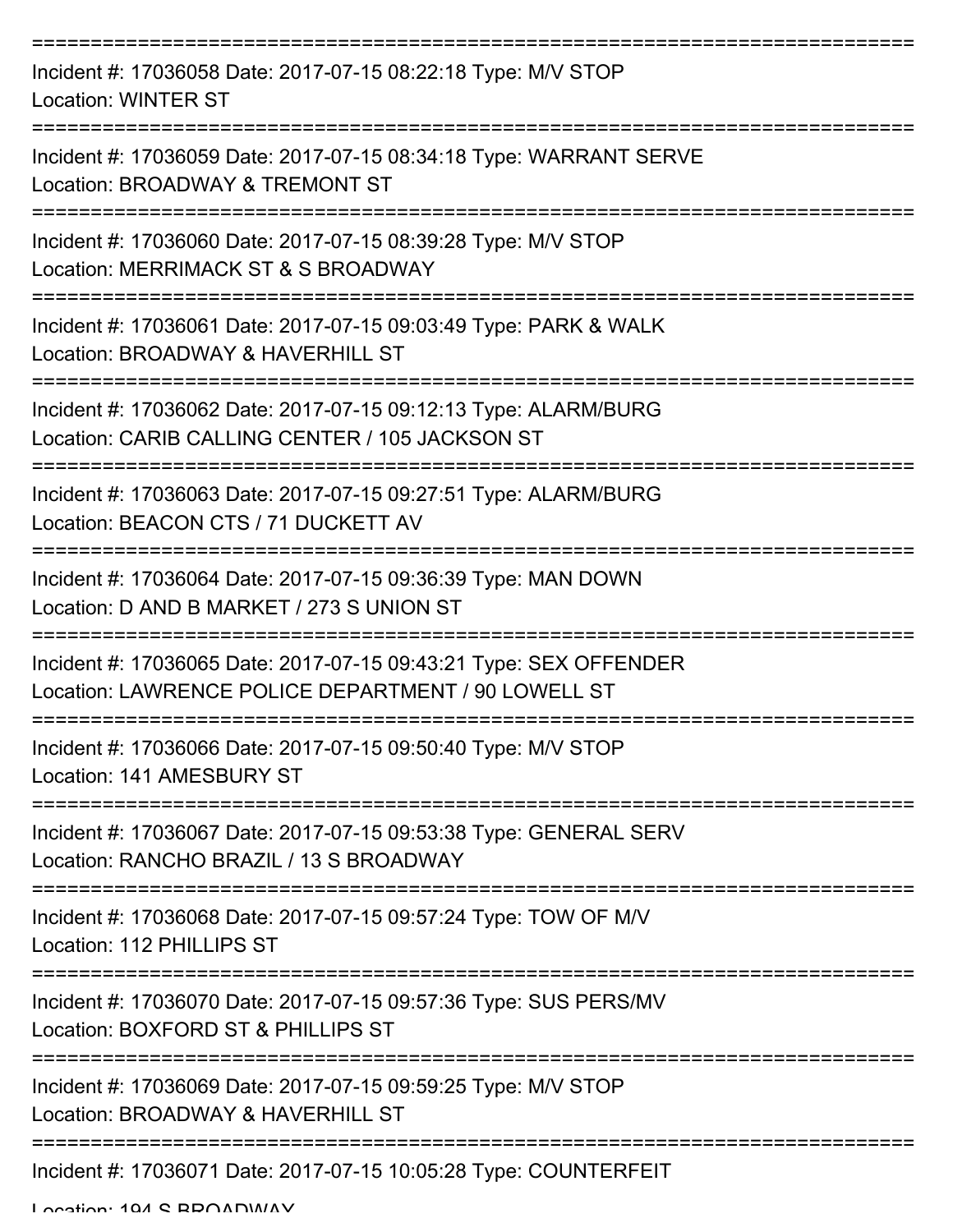| Incident #: 17036058 Date: 2017-07-15 08:22:18 Type: M/V STOP<br><b>Location: WINTER ST</b>                              |
|--------------------------------------------------------------------------------------------------------------------------|
| Incident #: 17036059 Date: 2017-07-15 08:34:18 Type: WARRANT SERVE<br>Location: BROADWAY & TREMONT ST                    |
| Incident #: 17036060 Date: 2017-07-15 08:39:28 Type: M/V STOP<br>Location: MERRIMACK ST & S BROADWAY                     |
| Incident #: 17036061 Date: 2017-07-15 09:03:49 Type: PARK & WALK<br>Location: BROADWAY & HAVERHILL ST                    |
| Incident #: 17036062 Date: 2017-07-15 09:12:13 Type: ALARM/BURG<br>Location: CARIB CALLING CENTER / 105 JACKSON ST       |
| Incident #: 17036063 Date: 2017-07-15 09:27:51 Type: ALARM/BURG<br>Location: BEACON CTS / 71 DUCKETT AV                  |
| Incident #: 17036064 Date: 2017-07-15 09:36:39 Type: MAN DOWN<br>Location: D AND B MARKET / 273 S UNION ST               |
| Incident #: 17036065 Date: 2017-07-15 09:43:21 Type: SEX OFFENDER<br>Location: LAWRENCE POLICE DEPARTMENT / 90 LOWELL ST |
| Incident #: 17036066 Date: 2017-07-15 09:50:40 Type: M/V STOP<br>Location: 141 AMESBURY ST                               |
| Incident #: 17036067 Date: 2017-07-15 09:53:38 Type: GENERAL SERV<br>Location: RANCHO BRAZIL / 13 S BROADWAY             |
| Incident #: 17036068 Date: 2017-07-15 09:57:24 Type: TOW OF M/V<br>Location: 112 PHILLIPS ST                             |
| Incident #: 17036070 Date: 2017-07-15 09:57:36 Type: SUS PERS/MV<br>Location: BOXFORD ST & PHILLIPS ST                   |
| Incident #: 17036069 Date: 2017-07-15 09:59:25 Type: M/V STOP<br>Location: BROADWAY & HAVERHILL ST                       |
| Incident #: 17036071 Date: 2017-07-15 10:05:28 Type: COUNTERFEIT                                                         |

Location: 104 S BBOADWAY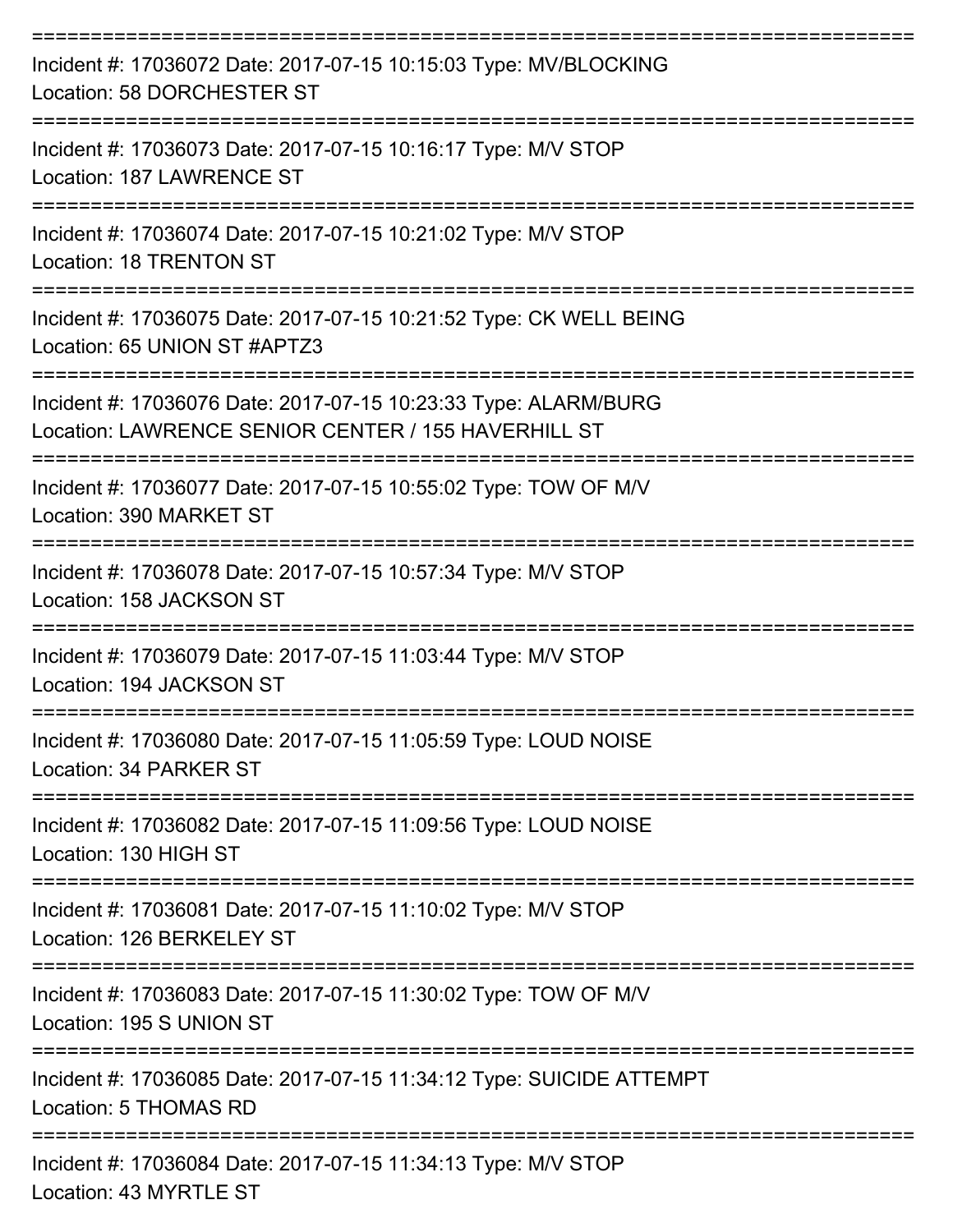| Incident #: 17036072 Date: 2017-07-15 10:15:03 Type: MV/BLOCKING<br>Location: 58 DORCHESTER ST                         |
|------------------------------------------------------------------------------------------------------------------------|
| Incident #: 17036073 Date: 2017-07-15 10:16:17 Type: M/V STOP<br>Location: 187 LAWRENCE ST                             |
| Incident #: 17036074 Date: 2017-07-15 10:21:02 Type: M/V STOP<br><b>Location: 18 TRENTON ST</b>                        |
| Incident #: 17036075 Date: 2017-07-15 10:21:52 Type: CK WELL BEING<br>Location: 65 UNION ST #APTZ3                     |
| Incident #: 17036076 Date: 2017-07-15 10:23:33 Type: ALARM/BURG<br>Location: LAWRENCE SENIOR CENTER / 155 HAVERHILL ST |
| Incident #: 17036077 Date: 2017-07-15 10:55:02 Type: TOW OF M/V<br>Location: 390 MARKET ST                             |
| Incident #: 17036078 Date: 2017-07-15 10:57:34 Type: M/V STOP<br>Location: 158 JACKSON ST                              |
| Incident #: 17036079 Date: 2017-07-15 11:03:44 Type: M/V STOP<br>Location: 194 JACKSON ST                              |
| Incident #: 17036080 Date: 2017-07-15 11:05:59 Type: LOUD NOISE<br>Location: 34 PARKER ST                              |
| Incident #: 17036082 Date: 2017-07-15 11:09:56 Type: LOUD NOISE<br>Location: 130 HIGH ST                               |
| Incident #: 17036081 Date: 2017-07-15 11:10:02 Type: M/V STOP<br>Location: 126 BERKELEY ST                             |
| Incident #: 17036083 Date: 2017-07-15 11:30:02 Type: TOW OF M/V<br>Location: 195 S UNION ST                            |
| Incident #: 17036085 Date: 2017-07-15 11:34:12 Type: SUICIDE ATTEMPT<br>Location: 5 THOMAS RD                          |
| Incident #: 17036084 Date: 2017-07-15 11:34:13 Type: M/V STOP<br>Location: 43 MYRTLE ST                                |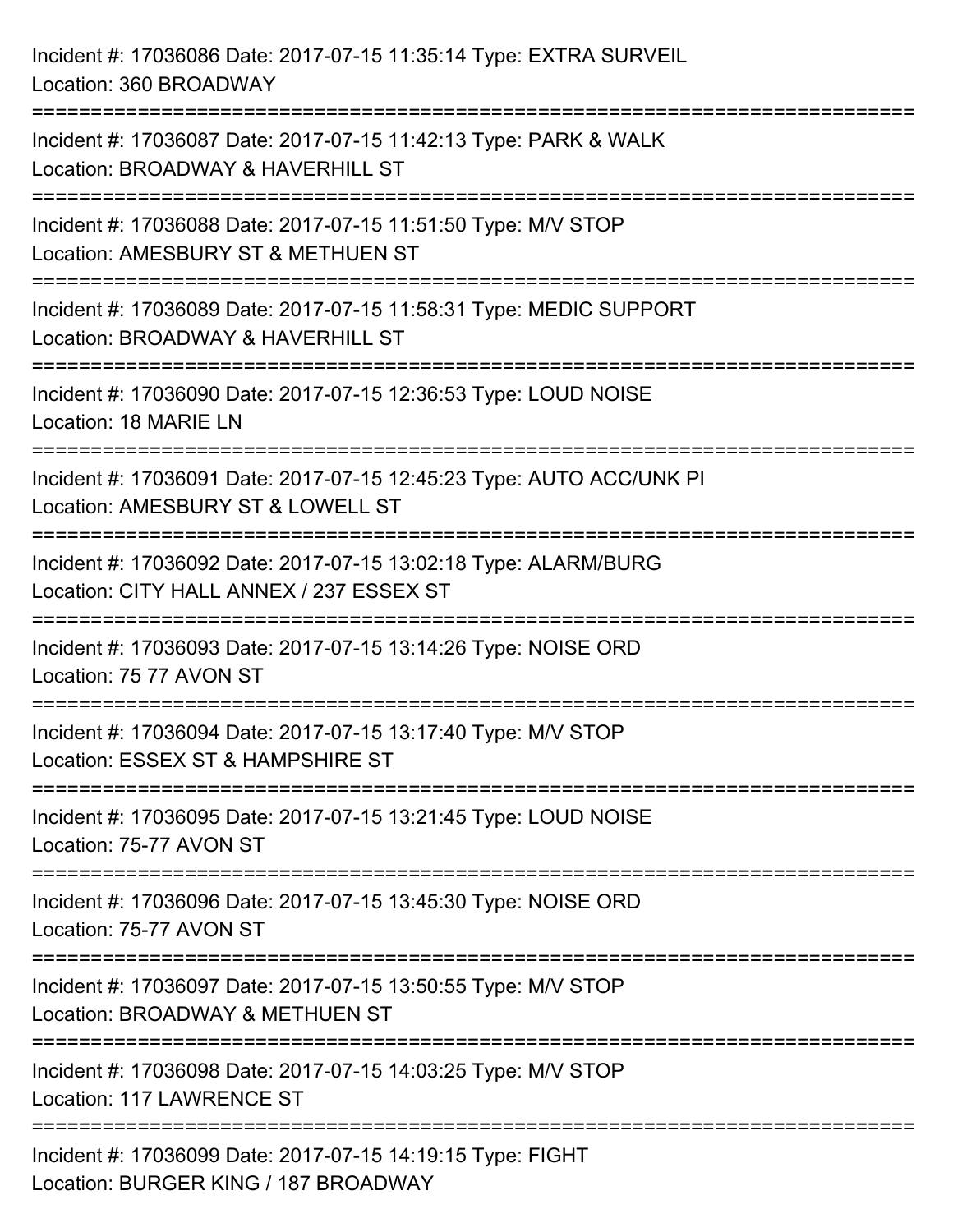Incident #: 17036086 Date: 2017-07-15 11:35:14 Type: EXTRA SURVEIL Location: 360 BROADWAY =========================================================================== Incident #: 17036087 Date: 2017-07-15 11:42:13 Type: PARK & WALK Location: BROADWAY & HAVERHILL ST =========================================================================== Incident #: 17036088 Date: 2017-07-15 11:51:50 Type: M/V STOP Location: AMESBURY ST & METHUEN ST =========================================================================== Incident #: 17036089 Date: 2017-07-15 11:58:31 Type: MEDIC SUPPORT Location: BROADWAY & HAVERHILL ST =========================================================================== Incident #: 17036090 Date: 2017-07-15 12:36:53 Type: LOUD NOISE Location: 18 MARIE LN =========================================================================== Incident #: 17036091 Date: 2017-07-15 12:45:23 Type: AUTO ACC/UNK PI Location: AMESBURY ST & LOWELL ST =========================================================================== Incident #: 17036092 Date: 2017-07-15 13:02:18 Type: ALARM/BURG Location: CITY HALL ANNEX / 237 ESSEX ST =========================================================================== Incident #: 17036093 Date: 2017-07-15 13:14:26 Type: NOISE ORD Location: 75 77 AVON ST =========================================================================== Incident #: 17036094 Date: 2017-07-15 13:17:40 Type: M/V STOP Location: ESSEX ST & HAMPSHIRE ST =========================================================================== Incident #: 17036095 Date: 2017-07-15 13:21:45 Type: LOUD NOISE Location: 75-77 AVON ST =========================================================================== Incident #: 17036096 Date: 2017-07-15 13:45:30 Type: NOISE ORD Location: 75-77 AVON ST =========================================================================== Incident #: 17036097 Date: 2017-07-15 13:50:55 Type: M/V STOP Location: BROADWAY & METHUEN ST =========================================================================== Incident #: 17036098 Date: 2017-07-15 14:03:25 Type: M/V STOP Location: 117 LAWRENCE ST =========================================================================== Incident #: 17036099 Date: 2017-07-15 14:19:15 Type: FIGHT Location: BURGER KING / 187 BROADWAY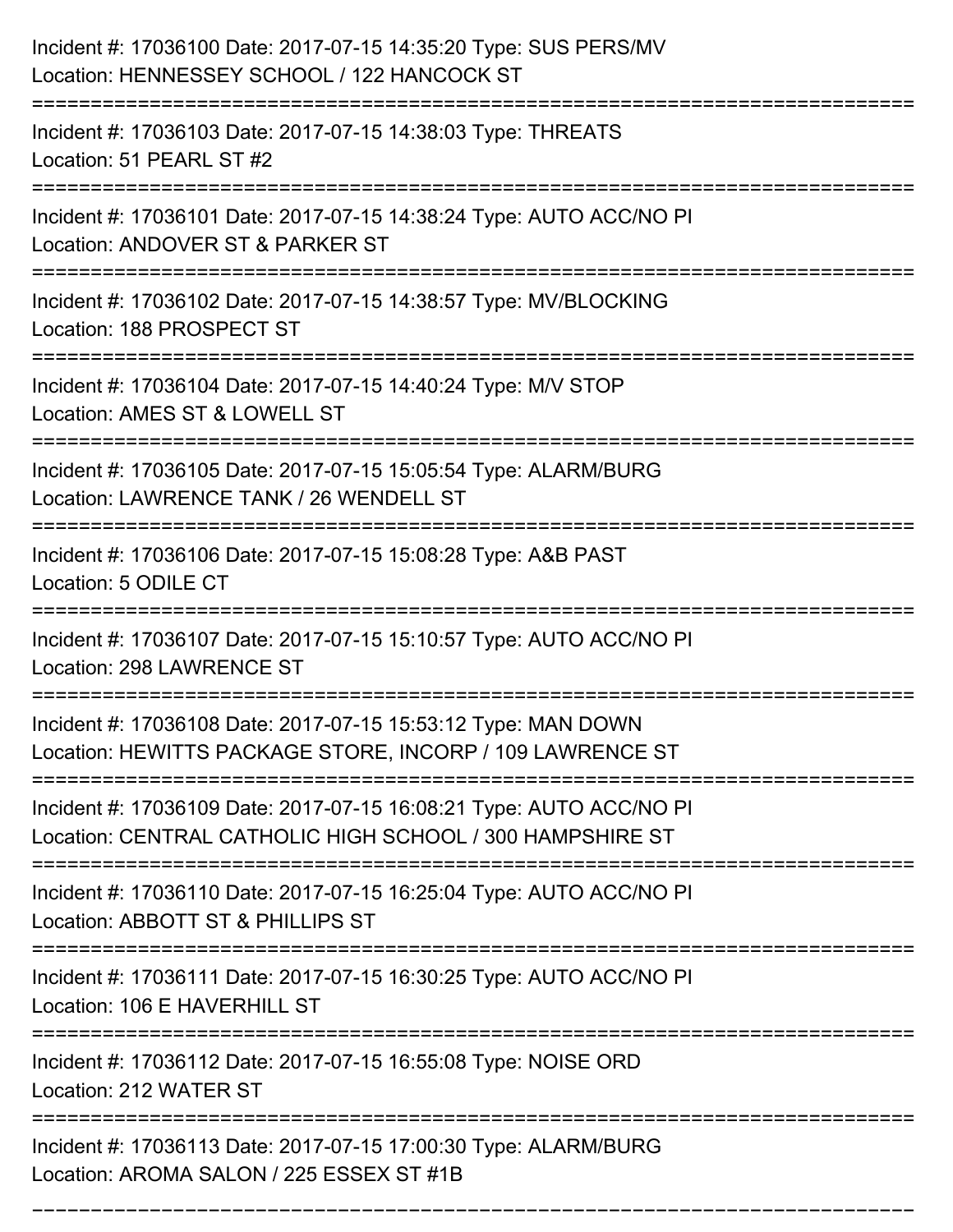| Incident #: 17036100 Date: 2017-07-15 14:35:20 Type: SUS PERS/MV<br>Location: HENNESSEY SCHOOL / 122 HANCOCK ST                      |
|--------------------------------------------------------------------------------------------------------------------------------------|
| Incident #: 17036103 Date: 2017-07-15 14:38:03 Type: THREATS<br>Location: 51 PEARL ST #2                                             |
| Incident #: 17036101 Date: 2017-07-15 14:38:24 Type: AUTO ACC/NO PI<br>Location: ANDOVER ST & PARKER ST                              |
| Incident #: 17036102 Date: 2017-07-15 14:38:57 Type: MV/BLOCKING<br>Location: 188 PROSPECT ST                                        |
| Incident #: 17036104 Date: 2017-07-15 14:40:24 Type: M/V STOP<br>Location: AMES ST & LOWELL ST                                       |
| Incident #: 17036105 Date: 2017-07-15 15:05:54 Type: ALARM/BURG<br>Location: LAWRENCE TANK / 26 WENDELL ST                           |
| Incident #: 17036106 Date: 2017-07-15 15:08:28 Type: A&B PAST<br>Location: 5 ODILE CT                                                |
| Incident #: 17036107 Date: 2017-07-15 15:10:57 Type: AUTO ACC/NO PI<br>Location: 298 LAWRENCE ST                                     |
| Incident #: 17036108 Date: 2017-07-15 15:53:12 Type: MAN DOWN<br>Location: HEWITTS PACKAGE STORE, INCORP / 109 LAWRENCE ST           |
| Incident #: 17036109 Date: 2017-07-15 16:08:21 Type: AUTO ACC/NO PI<br>Location: CENTRAL CATHOLIC HIGH SCHOOL / 300 HAMPSHIRE ST     |
| Incident #: 17036110 Date: 2017-07-15 16:25:04 Type: AUTO ACC/NO PI<br>Location: ABBOTT ST & PHILLIPS ST                             |
| Incident #: 17036111 Date: 2017-07-15 16:30:25 Type: AUTO ACC/NO PI<br>Location: 106 E HAVERHILL ST<br>-----------                   |
| Incident #: 17036112 Date: 2017-07-15 16:55:08 Type: NOISE ORD<br>Location: 212 WATER ST                                             |
| =====================<br>Incident #: 17036113 Date: 2017-07-15 17:00:30 Type: ALARM/BURG<br>Location: AROMA SALON / 225 ESSEX ST #1B |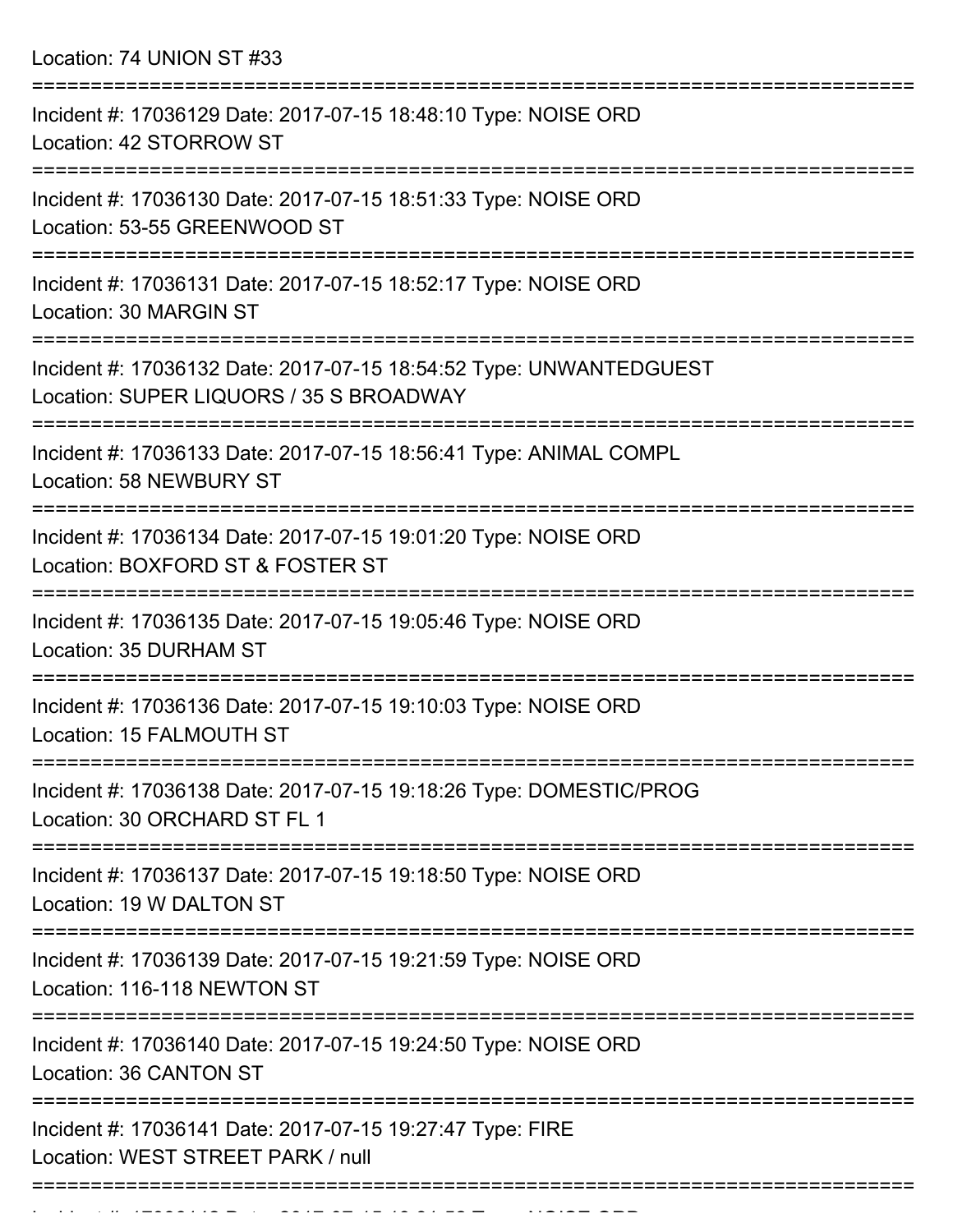Location: 74 UNION ST #33

| Incident #: 17036129 Date: 2017-07-15 18:48:10 Type: NOISE ORD<br>Location: 42 STORROW ST                     |
|---------------------------------------------------------------------------------------------------------------|
| Incident #: 17036130 Date: 2017-07-15 18:51:33 Type: NOISE ORD<br>Location: 53-55 GREENWOOD ST                |
| Incident #: 17036131 Date: 2017-07-15 18:52:17 Type: NOISE ORD<br>Location: 30 MARGIN ST                      |
| Incident #: 17036132 Date: 2017-07-15 18:54:52 Type: UNWANTEDGUEST<br>Location: SUPER LIQUORS / 35 S BROADWAY |
| Incident #: 17036133 Date: 2017-07-15 18:56:41 Type: ANIMAL COMPL<br><b>Location: 58 NEWBURY ST</b>           |
| Incident #: 17036134 Date: 2017-07-15 19:01:20 Type: NOISE ORD<br>Location: BOXFORD ST & FOSTER ST            |
| Incident #: 17036135 Date: 2017-07-15 19:05:46 Type: NOISE ORD<br>Location: 35 DURHAM ST                      |
| Incident #: 17036136 Date: 2017-07-15 19:10:03 Type: NOISE ORD<br>Location: 15 FALMOUTH ST                    |
| Incident #: 17036138 Date: 2017-07-15 19:18:26 Type: DOMESTIC/PROG<br>Location: 30 ORCHARD ST FL 1            |
| Incident #: 17036137 Date: 2017-07-15 19:18:50 Type: NOISE ORD<br>Location: 19 W DALTON ST                    |
| Incident #: 17036139 Date: 2017-07-15 19:21:59 Type: NOISE ORD<br>Location: 116-118 NEWTON ST                 |
| Incident #: 17036140 Date: 2017-07-15 19:24:50 Type: NOISE ORD<br>Location: 36 CANTON ST                      |
| Incident #: 17036141 Date: 2017-07-15 19:27:47 Type: FIRE<br>Location: WEST STREET PARK / null                |
|                                                                                                               |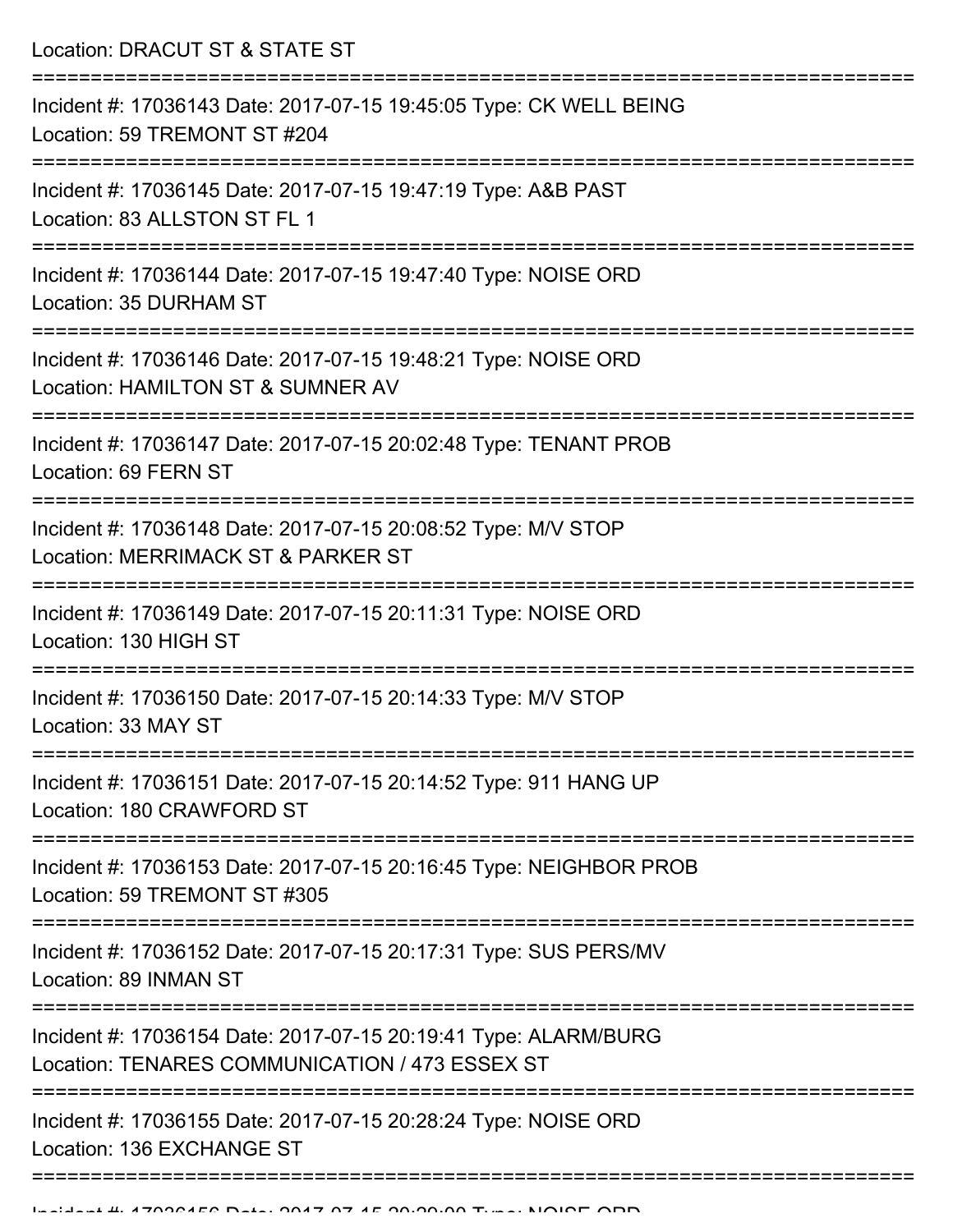Location: DRACUT ST & STATE ST =========================================================================== Incident #: 17036143 Date: 2017-07-15 19:45:05 Type: CK WELL BEING Location: 59 TREMONT ST #204 =========================================================================== Incident #: 17036145 Date: 2017-07-15 19:47:19 Type: A&B PAST Location: 83 ALLSTON ST FL 1 =========================================================================== Incident #: 17036144 Date: 2017-07-15 19:47:40 Type: NOISE ORD Location: 35 DURHAM ST =========================================================================== Incident #: 17036146 Date: 2017-07-15 19:48:21 Type: NOISE ORD Location: HAMILTON ST & SUMNER AV =========================================================================== Incident #: 17036147 Date: 2017-07-15 20:02:48 Type: TENANT PROB Location: 69 FERN ST =========================================================================== Incident #: 17036148 Date: 2017-07-15 20:08:52 Type: M/V STOP Location: MERRIMACK ST & PARKER ST =========================================================================== Incident #: 17036149 Date: 2017-07-15 20:11:31 Type: NOISE ORD Location: 130 HIGH ST =========================================================================== Incident #: 17036150 Date: 2017-07-15 20:14:33 Type: M/V STOP Location: 33 MAY ST =========================================================================== Incident #: 17036151 Date: 2017-07-15 20:14:52 Type: 911 HANG UP Location: 180 CRAWFORD ST =========================================================================== Incident #: 17036153 Date: 2017-07-15 20:16:45 Type: NEIGHBOR PROB Location: 59 TREMONT ST #305 =========================================================================== Incident #: 17036152 Date: 2017-07-15 20:17:31 Type: SUS PERS/MV Location: 89 INMAN ST =========================================================================== Incident #: 17036154 Date: 2017-07-15 20:19:41 Type: ALARM/BURG Location: TENARES COMMUNICATION / 473 ESSEX ST =========================================================================== Incident #: 17036155 Date: 2017-07-15 20:28:24 Type: NOISE ORD Location: 136 EXCHANGE ST =====================================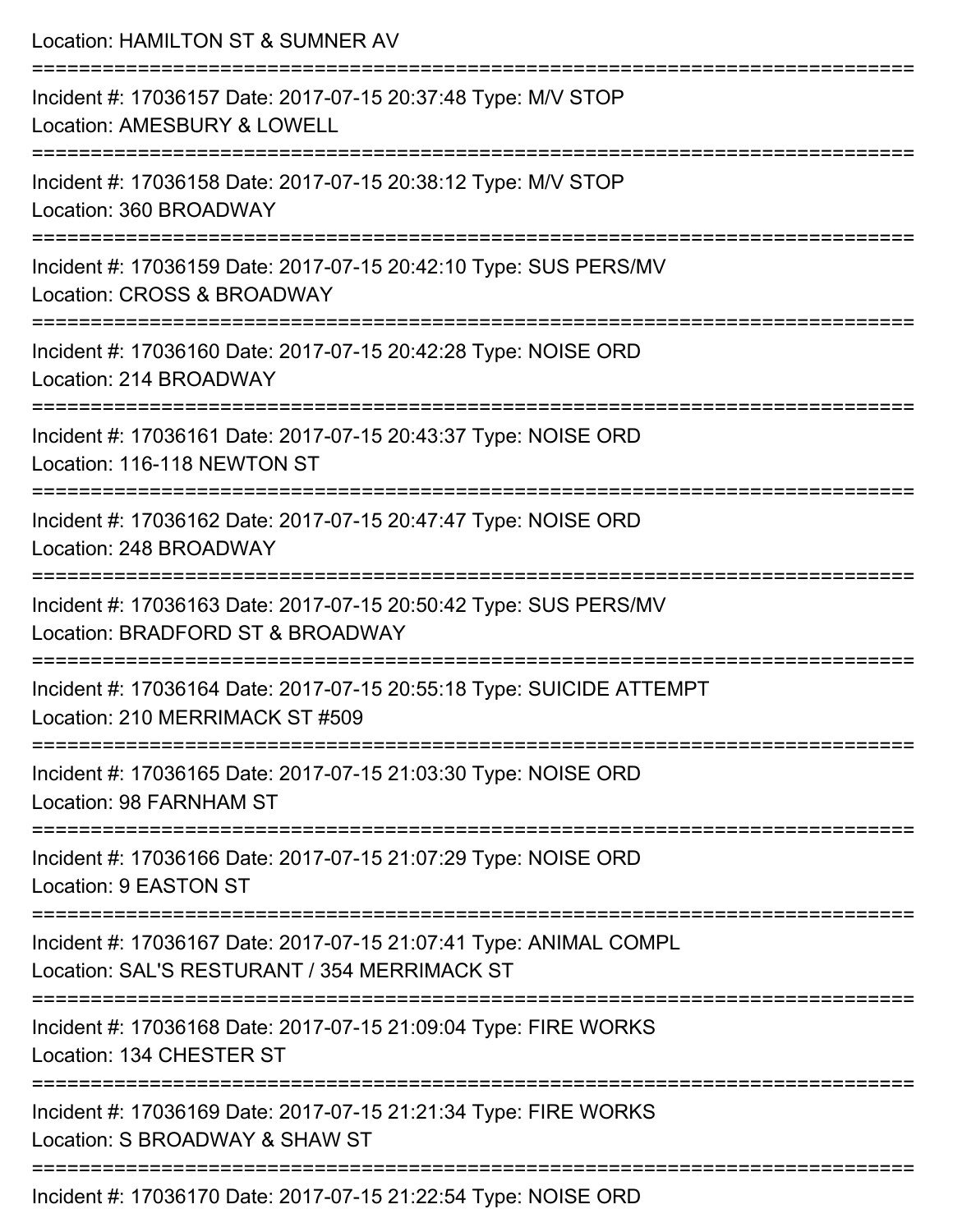| Location: HAMILTON ST & SUMNER AV                                                                                   |
|---------------------------------------------------------------------------------------------------------------------|
| Incident #: 17036157 Date: 2017-07-15 20:37:48 Type: M/V STOP<br>Location: AMESBURY & LOWELL                        |
| Incident #: 17036158 Date: 2017-07-15 20:38:12 Type: M/V STOP<br>Location: 360 BROADWAY                             |
| Incident #: 17036159 Date: 2017-07-15 20:42:10 Type: SUS PERS/MV<br>Location: CROSS & BROADWAY                      |
| Incident #: 17036160 Date: 2017-07-15 20:42:28 Type: NOISE ORD<br>Location: 214 BROADWAY                            |
| Incident #: 17036161 Date: 2017-07-15 20:43:37 Type: NOISE ORD<br>Location: 116-118 NEWTON ST                       |
| Incident #: 17036162 Date: 2017-07-15 20:47:47 Type: NOISE ORD<br>Location: 248 BROADWAY                            |
| Incident #: 17036163 Date: 2017-07-15 20:50:42 Type: SUS PERS/MV<br>Location: BRADFORD ST & BROADWAY                |
| Incident #: 17036164 Date: 2017-07-15 20:55:18 Type: SUICIDE ATTEMPT<br>Location: 210 MERRIMACK ST #509             |
| :=====================<br>Incident #: 17036165 Date: 2017-07-15 21:03:30 Type: NOISE ORD<br>Location: 98 FARNHAM ST |
| Incident #: 17036166 Date: 2017-07-15 21:07:29 Type: NOISE ORD<br>Location: 9 EASTON ST                             |
| Incident #: 17036167 Date: 2017-07-15 21:07:41 Type: ANIMAL COMPL<br>Location: SAL'S RESTURANT / 354 MERRIMACK ST   |
| Incident #: 17036168 Date: 2017-07-15 21:09:04 Type: FIRE WORKS<br>Location: 134 CHESTER ST                         |
| Incident #: 17036169 Date: 2017-07-15 21:21:34 Type: FIRE WORKS<br>Location: S BROADWAY & SHAW ST                   |
| ______________________<br>Incident #: 17036170 Date: 2017-07-15 21:22:54 Type: NOISE ORD                            |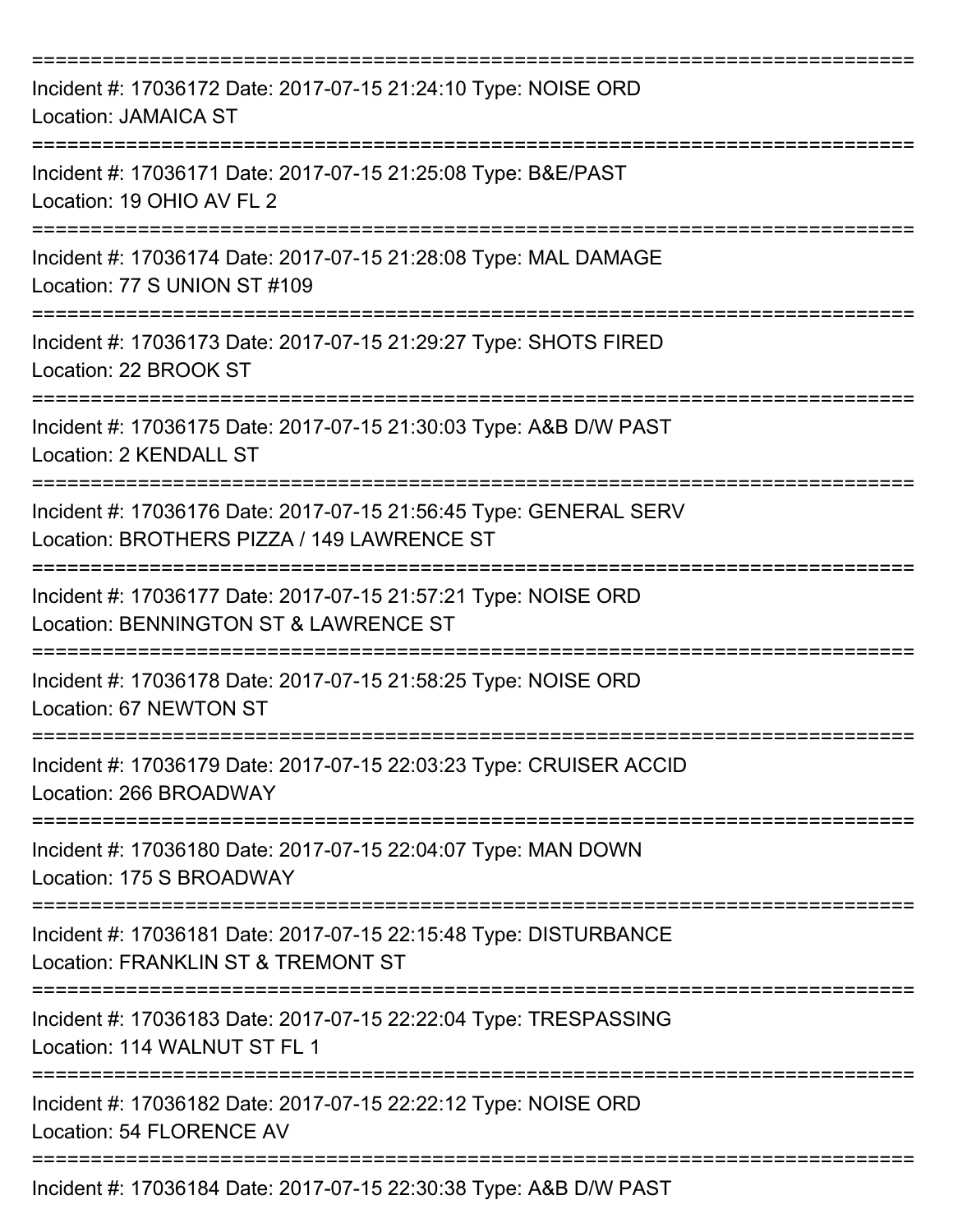| Incident #: 17036172 Date: 2017-07-15 21:24:10 Type: NOISE ORD<br><b>Location: JAMAICA ST</b>                   |
|-----------------------------------------------------------------------------------------------------------------|
| Incident #: 17036171 Date: 2017-07-15 21:25:08 Type: B&E/PAST<br>Location: 19 OHIO AV FL 2                      |
| Incident #: 17036174 Date: 2017-07-15 21:28:08 Type: MAL DAMAGE<br>Location: 77 S UNION ST #109                 |
| Incident #: 17036173 Date: 2017-07-15 21:29:27 Type: SHOTS FIRED<br>Location: 22 BROOK ST                       |
| Incident #: 17036175 Date: 2017-07-15 21:30:03 Type: A&B D/W PAST<br>Location: 2 KENDALL ST                     |
| Incident #: 17036176 Date: 2017-07-15 21:56:45 Type: GENERAL SERV<br>Location: BROTHERS PIZZA / 149 LAWRENCE ST |
| Incident #: 17036177 Date: 2017-07-15 21:57:21 Type: NOISE ORD<br>Location: BENNINGTON ST & LAWRENCE ST         |
| Incident #: 17036178 Date: 2017-07-15 21:58:25 Type: NOISE ORD<br>Location: 67 NEWTON ST                        |
| Incident #: 17036179 Date: 2017-07-15 22:03:23 Type: CRUISER ACCID<br>Location: 266 BROADWAY<br>=============== |
| Incident #: 17036180 Date: 2017-07-15 22:04:07 Type: MAN DOWN<br>Location: 175 S BROADWAY                       |
| Incident #: 17036181 Date: 2017-07-15 22:15:48 Type: DISTURBANCE<br>Location: FRANKLIN ST & TREMONT ST          |
| Incident #: 17036183 Date: 2017-07-15 22:22:04 Type: TRESPASSING<br>Location: 114 WALNUT ST FL 1                |
| Incident #: 17036182 Date: 2017-07-15 22:22:12 Type: NOISE ORD<br>Location: 54 FLORENCE AV                      |
| Incident #: 17036184 Date: 2017-07-15 22:30:38 Type: A&B D/W PAST                                               |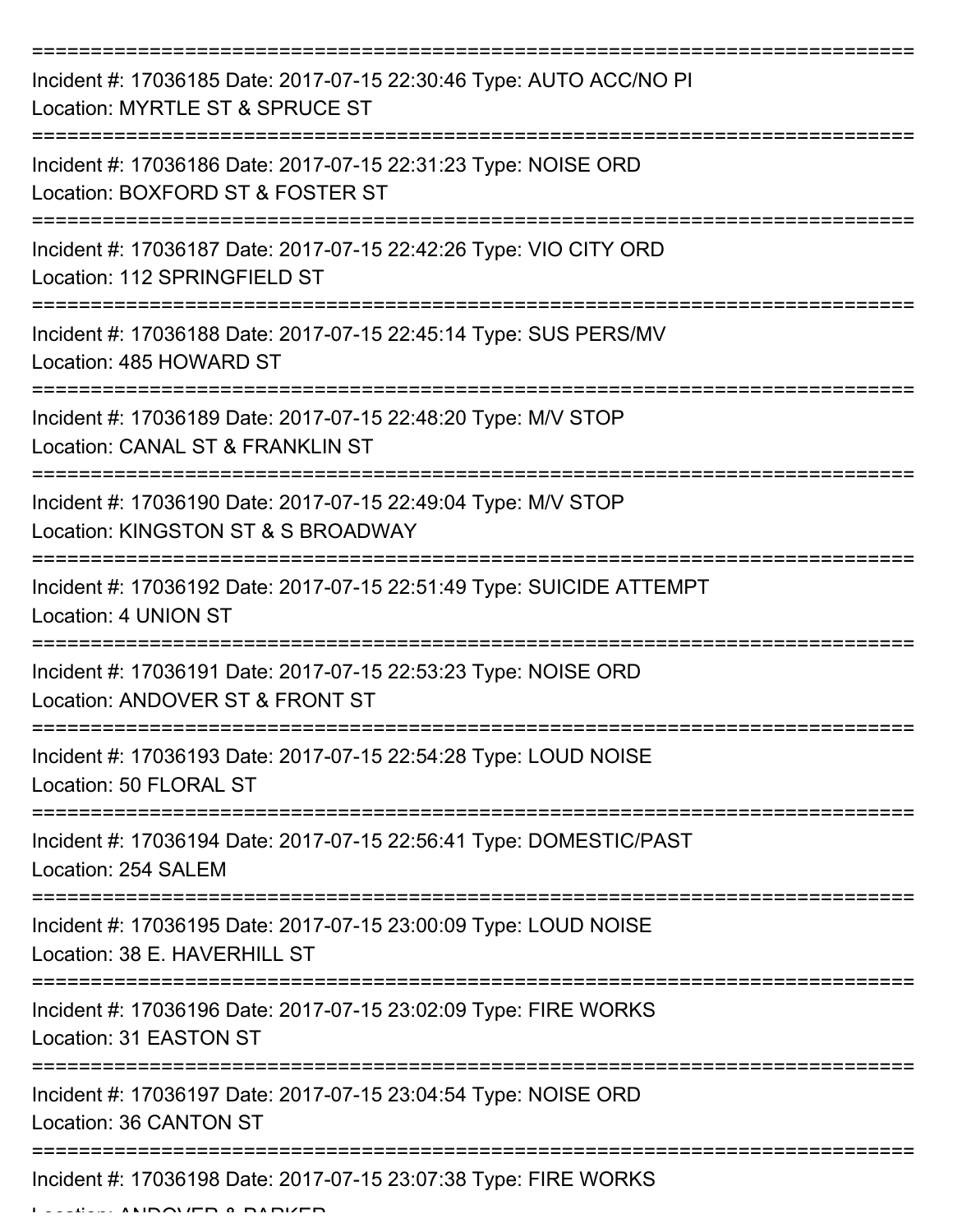| Incident #: 17036185 Date: 2017-07-15 22:30:46 Type: AUTO ACC/NO PI<br>Location: MYRTLE ST & SPRUCE ST |
|--------------------------------------------------------------------------------------------------------|
| Incident #: 17036186 Date: 2017-07-15 22:31:23 Type: NOISE ORD<br>Location: BOXFORD ST & FOSTER ST     |
| Incident #: 17036187 Date: 2017-07-15 22:42:26 Type: VIO CITY ORD<br>Location: 112 SPRINGFIELD ST      |
| Incident #: 17036188 Date: 2017-07-15 22:45:14 Type: SUS PERS/MV<br>Location: 485 HOWARD ST            |
| Incident #: 17036189 Date: 2017-07-15 22:48:20 Type: M/V STOP<br>Location: CANAL ST & FRANKLIN ST      |
| Incident #: 17036190 Date: 2017-07-15 22:49:04 Type: M/V STOP<br>Location: KINGSTON ST & S BROADWAY    |
| Incident #: 17036192 Date: 2017-07-15 22:51:49 Type: SUICIDE ATTEMPT<br>Location: 4 UNION ST           |
| Incident #: 17036191 Date: 2017-07-15 22:53:23 Type: NOISE ORD<br>Location: ANDOVER ST & FRONT ST      |
| Incident #: 17036193 Date: 2017-07-15 22:54:28 Type: LOUD NOISE<br>Location: 50 FLORAL ST              |
| Incident #: 17036194 Date: 2017-07-15 22:56:41 Type: DOMESTIC/PAST<br>Location: 254 SALEM              |
| Incident #: 17036195 Date: 2017-07-15 23:00:09 Type: LOUD NOISE<br>Location: 38 E. HAVERHILL ST        |
| Incident #: 17036196 Date: 2017-07-15 23:02:09 Type: FIRE WORKS<br>Location: 31 EASTON ST              |
| Incident #: 17036197 Date: 2017-07-15 23:04:54 Type: NOISE ORD<br>Location: 36 CANTON ST               |
| Incident #: 17036198 Date: 2017-07-15 23:07:38 Type: FIRE WORKS                                        |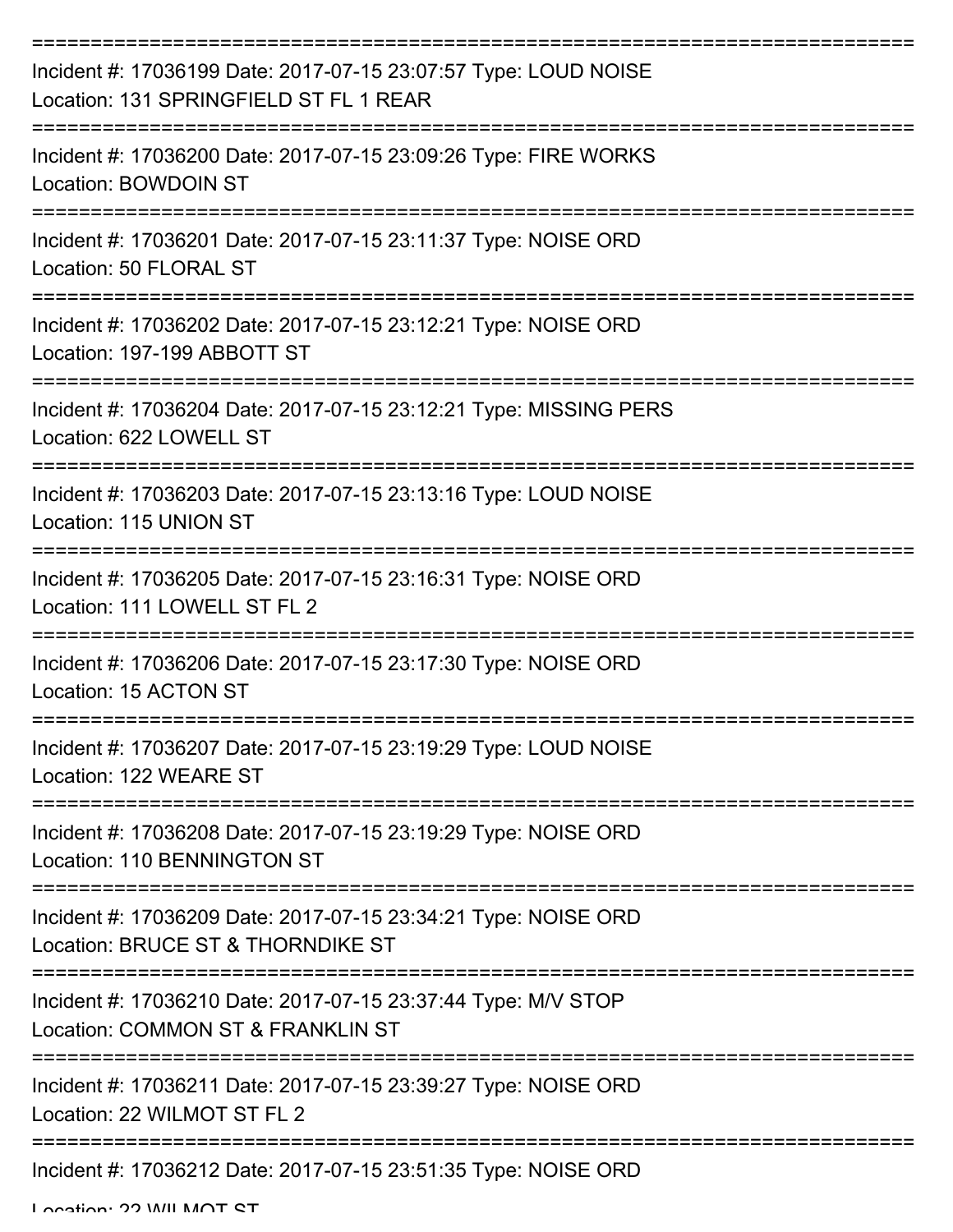| Incident #: 17036199 Date: 2017-07-15 23:07:57 Type: LOUD NOISE<br>Location: 131 SPRINGFIELD ST FL 1 REAR |
|-----------------------------------------------------------------------------------------------------------|
| Incident #: 17036200 Date: 2017-07-15 23:09:26 Type: FIRE WORKS<br>Location: BOWDOIN ST                   |
| Incident #: 17036201 Date: 2017-07-15 23:11:37 Type: NOISE ORD<br>Location: 50 FLORAL ST                  |
| Incident #: 17036202 Date: 2017-07-15 23:12:21 Type: NOISE ORD<br>Location: 197-199 ABBOTT ST             |
| Incident #: 17036204 Date: 2017-07-15 23:12:21 Type: MISSING PERS<br>Location: 622 LOWELL ST              |
| Incident #: 17036203 Date: 2017-07-15 23:13:16 Type: LOUD NOISE<br>Location: 115 UNION ST                 |
| Incident #: 17036205 Date: 2017-07-15 23:16:31 Type: NOISE ORD<br>Location: 111 LOWELL ST FL 2            |
| Incident #: 17036206 Date: 2017-07-15 23:17:30 Type: NOISE ORD<br>Location: 15 ACTON ST                   |
| Incident #: 17036207 Date: 2017-07-15 23:19:29 Type: LOUD NOISE<br>Location: 122 WEARE ST                 |
| Incident #: 17036208 Date: 2017-07-15 23:19:29 Type: NOISE ORD<br>Location: 110 BENNINGTON ST             |
| Incident #: 17036209 Date: 2017-07-15 23:34:21 Type: NOISE ORD<br>Location: BRUCE ST & THORNDIKE ST       |
| Incident #: 17036210 Date: 2017-07-15 23:37:44 Type: M/V STOP<br>Location: COMMON ST & FRANKLIN ST        |
| Incident #: 17036211 Date: 2017-07-15 23:39:27 Type: NOISE ORD<br>Location: 22 WILMOT ST FL 2             |
| Incident #: 17036212 Date: 2017-07-15 23:51:35 Type: NOISE ORD                                            |

Location: 22 WILLMOT ST